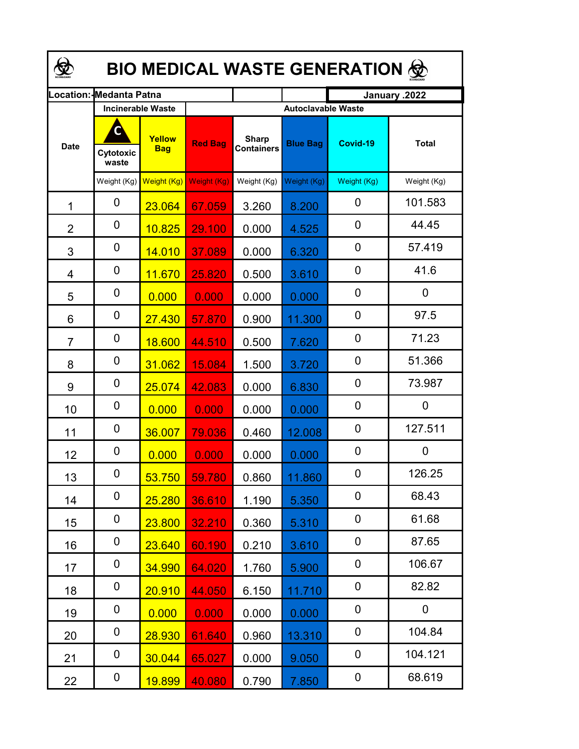| <b>BIO MEDICAL WASTE GENERATION ©</b> |                          |                      |                |                                   |                           |             |              |  |  |  |  |
|---------------------------------------|--------------------------|----------------------|----------------|-----------------------------------|---------------------------|-------------|--------------|--|--|--|--|
| .ocation:                             | Medanta Patna            |                      |                | January .2022                     |                           |             |              |  |  |  |  |
|                                       | <b>Incinerable Waste</b> |                      |                |                                   | <b>Autoclavable Waste</b> |             |              |  |  |  |  |
| <b>Date</b>                           | Cytotoxic<br>waste       | Yellow<br><b>Bag</b> | <b>Red Bag</b> | <b>Sharp</b><br><b>Containers</b> | <b>Blue Bag</b>           | Covid-19    | <b>Total</b> |  |  |  |  |
|                                       | Weight (Kg)              | Weight (Kg)          | Weight (Kg)    | Weight (Kg)                       | Weight (Kg)               | Weight (Kg) | Weight (Kg)  |  |  |  |  |
| 1                                     | 0                        | 23.064               | 67.059         | 3.260                             | 8.200                     | 0           | 101.583      |  |  |  |  |
| $\overline{2}$                        | 0                        | 10.825               | 29.100         | 0.000                             | 4.525                     | 0           | 44.45        |  |  |  |  |
| 3                                     | 0                        | 14.010               | 37.089         | 0.000                             | 6.320                     | 0           | 57.419       |  |  |  |  |
| 4                                     | 0                        | 11.670               | 25.820         | 0.500                             | 3.610                     | 0           | 41.6         |  |  |  |  |
| 5                                     | 0                        | 0.000                | 0.000          | 0.000                             | 0.000                     | 0           | 0            |  |  |  |  |
| 6                                     | 0                        | 27.430               | 57.870         | 0.900                             | 11.300                    | 0           | 97.5         |  |  |  |  |
| $\overline{7}$                        | 0                        | 18.600               | 44.510         | 0.500                             | 7.620                     | 0           | 71.23        |  |  |  |  |
| 8                                     | 0                        | 31.062               | 15.084         | 1.500                             | 3.720                     | 0           | 51.366       |  |  |  |  |
| 9                                     | 0                        | 25.074               | 42.083         | 0.000                             | 6.830                     | 0           | 73.987       |  |  |  |  |
| 10                                    | 0                        | 0.000                | 0.000          | 0.000                             | 0.000                     | $\mathbf 0$ | 0            |  |  |  |  |
| 11                                    | 0                        | 36.007               | 79.036         | 0.460                             | 12.008                    | 0           | 127.511      |  |  |  |  |
| 12                                    | 0                        | 0.000                | 0.000          | 0.000                             | 0.000                     | 0           | 0            |  |  |  |  |
| 13                                    | 0                        | 53.750               | 59.780         | 0.860                             | 11.860                    | 0           | 126.25       |  |  |  |  |
| 14                                    | 0                        | 25.280               | 36.610         | 1.190                             | 5.350                     | 0           | 68.43        |  |  |  |  |
| 15                                    | 0                        | 23.800               | 32.210         | 0.360                             | 5.310                     | 0           | 61.68        |  |  |  |  |
| 16                                    | 0                        | 23.640               | 60.190         | 0.210                             | 3.610                     | 0           | 87.65        |  |  |  |  |
| 17                                    | 0                        | 34.990               | 64.020         | 1.760                             | 5.900                     | 0           | 106.67       |  |  |  |  |
| 18                                    | 0                        | 20.910               | 44.050         | 6.150                             | 11.710                    | 0           | 82.82        |  |  |  |  |
| 19                                    | 0                        | 0.000                | 0.000          | 0.000                             | 0.000                     | 0           | 0            |  |  |  |  |
| 20                                    | 0                        | 28.930               | 61.640         | 0.960                             | 13.310                    | 0           | 104.84       |  |  |  |  |
| 21                                    | 0                        | 30.044               | 65.027         | 0.000                             | 9.050                     | 0           | 104.121      |  |  |  |  |
| 22                                    | 0                        | <b>19.899</b>        | 40.080         | 0.790                             | 7.850                     | 0           | 68.619       |  |  |  |  |